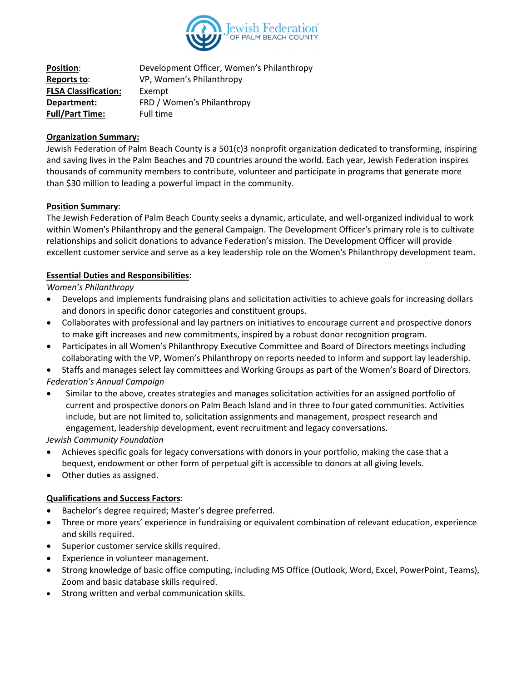

**Position:** Development Officer, Women's Philanthropy **Reports to**: VP, Women's Philanthropy **FLSA Classification:** Exempt **Department:** FRD / Women's Philanthropy **Full/Part Time:** Full time

## **Organization Summary:**

Jewish Federation of Palm Beach County is a 501(c)3 nonprofit organization dedicated to transforming, inspiring and saving lives in the Palm Beaches and 70 countries around the world. Each year, Jewish Federation inspires thousands of community members to contribute, volunteer and participate in programs that generate more than \$30 million to leading a powerful impact in the community.

## **Position Summary**:

The Jewish Federation of Palm Beach County seeks a dynamic, articulate, and well-organized individual to work within Women's Philanthropy and the general Campaign. The Development Officer's primary role is to cultivate relationships and solicit donations to advance Federation's mission. The Development Officer will provide excellent customer service and serve as a key leadership role on the Women's Philanthropy development team.

## **Essential Duties and Responsibilities**:

*Women's Philanthropy*

- Develops and implements fundraising plans and solicitation activities to achieve goals for increasing dollars and donors in specific donor categories and constituent groups.
- Collaborates with professional and lay partners on initiatives to encourage current and prospective donors to make gift increases and new commitments, inspired by a robust donor recognition program.
- Participates in all Women's Philanthropy Executive Committee and Board of Directors meetings including collaborating with the VP, Women's Philanthropy on reports needed to inform and support lay leadership.
- Staffs and manages select lay committees and Working Groups as part of the Women's Board of Directors. *Federation's Annual Campaign*
- Similar to the above, creates strategies and manages solicitation activities for an assigned portfolio of current and prospective donors on Palm Beach Island and in three to four gated communities. Activities include, but are not limited to, solicitation assignments and management, prospect research and engagement, leadership development, event recruitment and legacy conversations.

*Jewish Community Foundation*

- Achieves specific goals for legacy conversations with donors in your portfolio, making the case that a bequest, endowment or other form of perpetual gift is accessible to donors at all giving levels.
- Other duties as assigned.

# **Qualifications and Success Factors**:

- Bachelor's degree required; Master's degree preferred.
- Three or more years' experience in fundraising or equivalent combination of relevant education, experience and skills required.
- Superior customer service skills required.
- Experience in volunteer management.
- Strong knowledge of basic office computing, including MS Office (Outlook, Word, Excel, PowerPoint, Teams), Zoom and basic database skills required.
- Strong written and verbal communication skills.